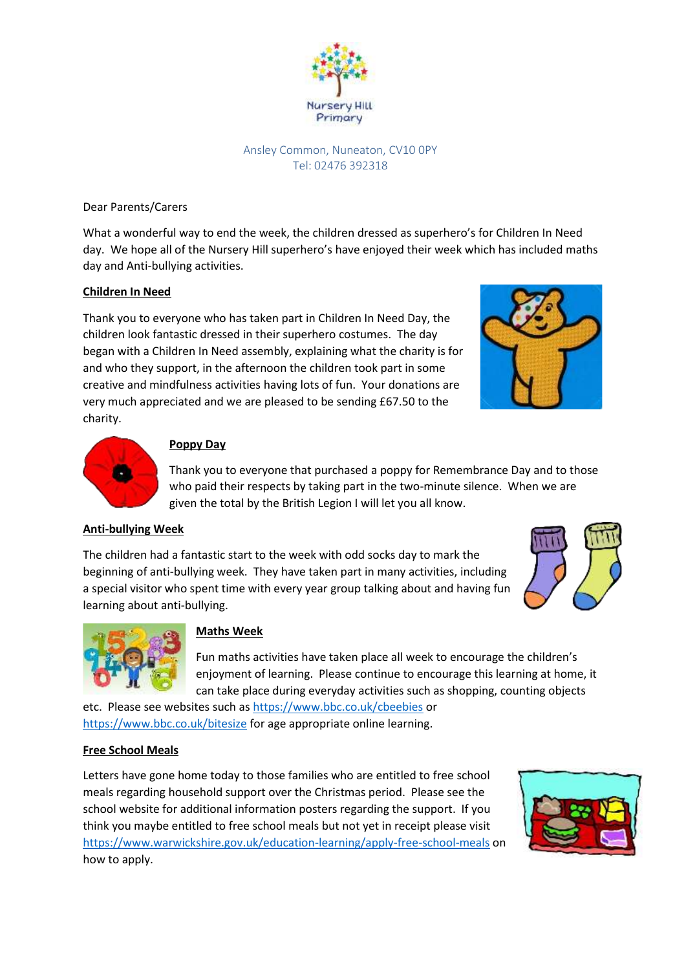

### Ansley Common, Nuneaton, CV10 0PY Tel: 02476 392318

Dear Parents/Carers

What a wonderful way to end the week, the children dressed as superhero's for Children In Need day. We hope all of the Nursery Hill superhero's have enjoyed their week which has included maths day and Anti-bullying activities.

### **Children In Need**

Thank you to everyone who has taken part in Children In Need Day, the children look fantastic dressed in their superhero costumes. The day began with a Children In Need assembly, explaining what the charity is for and who they support, in the afternoon the children took part in some creative and mindfulness activities having lots of fun. Your donations are very much appreciated and we are pleased to be sending £67.50 to the charity.





# **Poppy Day**

Thank you to everyone that purchased a poppy for Remembrance Day and to those who paid their respects by taking part in the two-minute silence. When we are given the total by the British Legion I will let you all know.

# **Anti-bullying Week**

The children had a fantastic start to the week with odd socks day to mark the beginning of anti-bullying week. They have taken part in many activities, including a special visitor who spent time with every year group talking about and having fun learning about anti-bullying.





# **Maths Week**

Fun maths activities have taken place all week to encourage the children's enjoyment of learning. Please continue to encourage this learning at home, it can take place during everyday activities such as shopping, counting objects

etc. Please see websites such a[s https://www.bbc.co.uk/cbeebies](https://www.bbc.co.uk/cbeebies) or <https://www.bbc.co.uk/bitesize> for age appropriate online learning.

# **Free School Meals**

Letters have gone home today to those families who are entitled to free school meals regarding household support over the Christmas period. Please see the school website for additional information posters regarding the support. If you think you maybe entitled to free school meals but not yet in receipt please visit <https://www.warwickshire.gov.uk/education-learning/apply-free-school-meals> on how to apply.

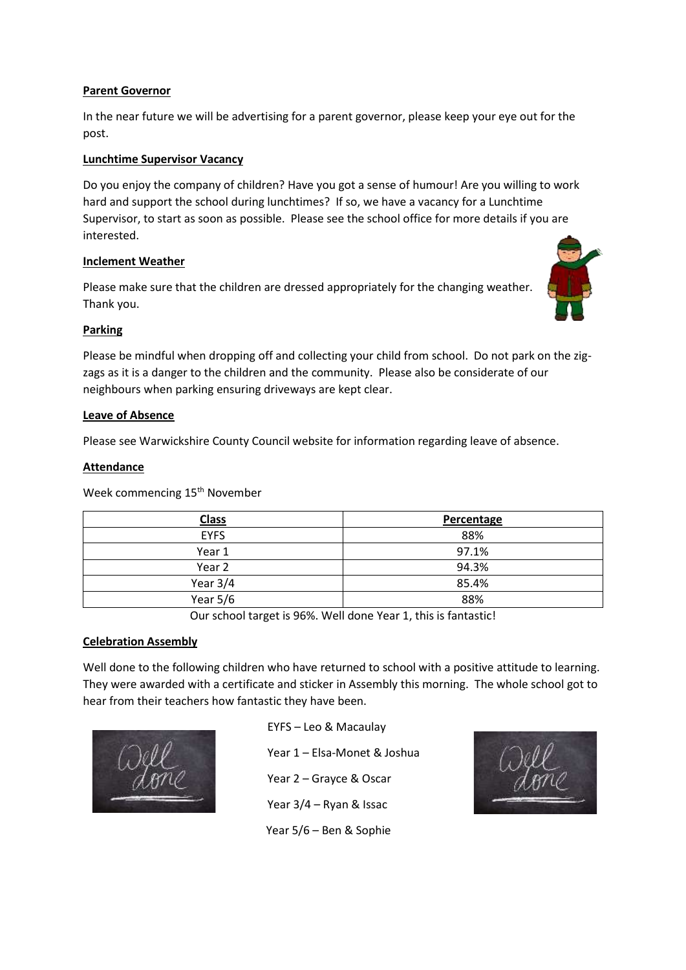### **Parent Governor**

In the near future we will be advertising for a parent governor, please keep your eye out for the post.

### **Lunchtime Supervisor Vacancy**

Do you enjoy the company of children? Have you got a sense of humour! Are you willing to work hard and support the school during lunchtimes? If so, we have a vacancy for a Lunchtime Supervisor, to start as soon as possible. Please see the school office for more details if you are interested.

### **Inclement Weather**

Please make sure that the children are dressed appropriately for the changing weather. Thank you.



### **Parking**

Please be mindful when dropping off and collecting your child from school. Do not park on the zigzags as it is a danger to the children and the community. Please also be considerate of our neighbours when parking ensuring driveways are kept clear.

#### **Leave of Absence**

Please see Warwickshire County Council website for information regarding leave of absence.

#### **Attendance**

Week commencing 15<sup>th</sup> November

| <b>Class</b> | Percentage |
|--------------|------------|
| <b>EYFS</b>  | 88%        |
| Year 1       | 97.1%      |
| Year 2       | 94.3%      |
| Year $3/4$   | 85.4%      |
| Year $5/6$   | 88%        |

Our school target is 96%. Well done Year 1, this is fantastic!

#### **Celebration Assembly**

Well done to the following children who have returned to school with a positive attitude to learning. They were awarded with a certificate and sticker in Assembly this morning. The whole school got to hear from their teachers how fantastic they have been.



EYFS – Leo & Macaulay Year 1 – Elsa-Monet & Joshua Year 2 – Grayce & Oscar Year 3/4 – Ryan & Issac Year 5/6 – Ben & Sophie